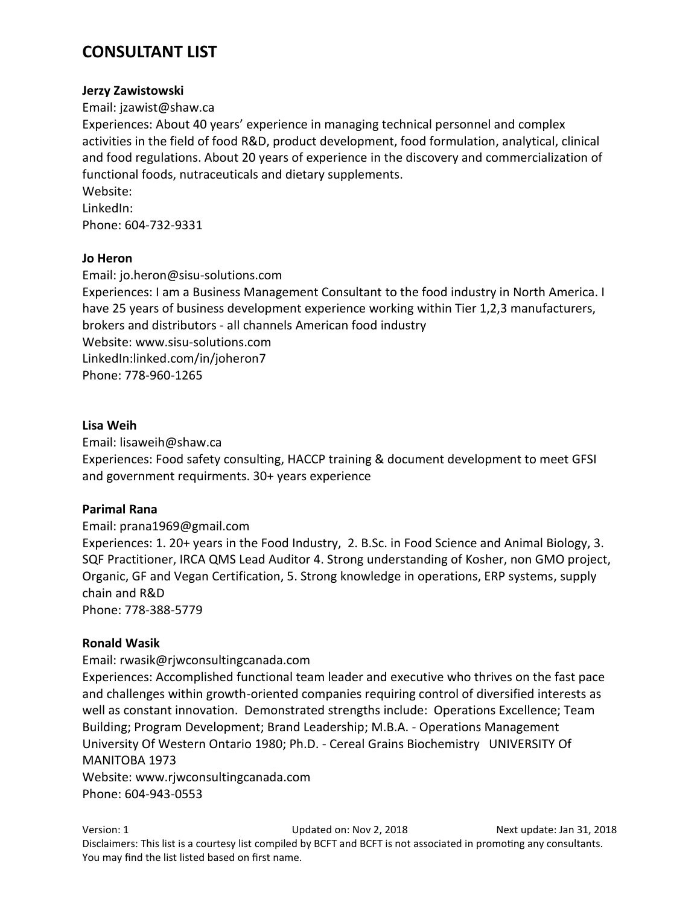# **CONSULTANT LIST**

#### **Jerzy Zawistowski**

Email: jzawist@shaw.ca

Experiences: About 40 years' experience in managing technical personnel and complex activities in the field of food R&D, product development, food formulation, analytical, clinical and food regulations. About 20 years of experience in the discovery and commercialization of functional foods, nutraceuticals and dietary supplements.

Website:

LinkedIn: Phone: 604-732-9331

### **Jo Heron**

Email: jo.heron@sisu-solutions.com Experiences: I am a Business Management Consultant to the food industry in North America. I have 25 years of business development experience working within Tier 1,2,3 manufacturers, brokers and distributors - all channels American food industry Website: www.sisu-solutions.com LinkedIn:linked.com/in/joheron7 Phone: 778-960-1265

#### **Lisa Weih**

Email: lisaweih@shaw.ca Experiences: Food safety consulting, HACCP training & document development to meet GFSI and government requirments. 30+ years experience

### **Parimal Rana**

Email: prana1969@gmail.com

Experiences: 1. 20+ years in the Food Industry, 2. B.Sc. in Food Science and Animal Biology, 3. SQF Practitioner, IRCA QMS Lead Auditor 4. Strong understanding of Kosher, non GMO project, Organic, GF and Vegan Certification, 5. Strong knowledge in operations, ERP systems, supply chain and R&D

Phone: 778-388-5779

### **Ronald Wasik**

### Email: rwasik@rjwconsultingcanada.com

Experiences: Accomplished functional team leader and executive who thrives on the fast pace and challenges within growth-oriented companies requiring control of diversified interests as well as constant innovation. Demonstrated strengths include: Operations Excellence; Team Building; Program Development; Brand Leadership; M.B.A. - Operations Management University Of Western Ontario 1980; Ph.D. - Cereal Grains Biochemistry UNIVERSITY Of MANITOBA 1973

Website: www.rjwconsultingcanada.com Phone: 604-943-0553